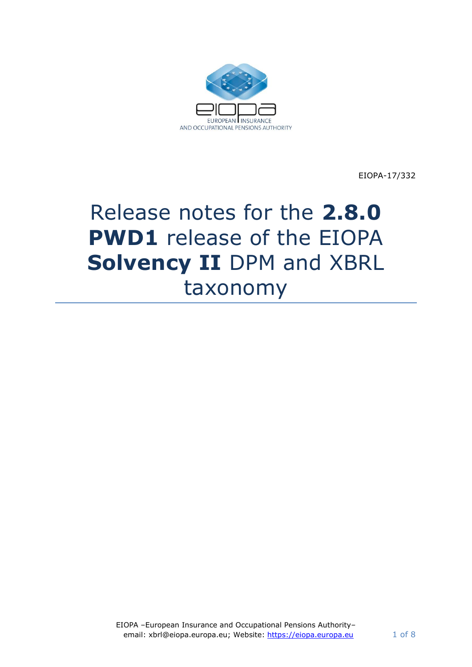

EIOPA-17/332

# Release notes for the **2.8.0 PWD1** release of the EIOPA **Solvency II** DPM and XBRL taxonomy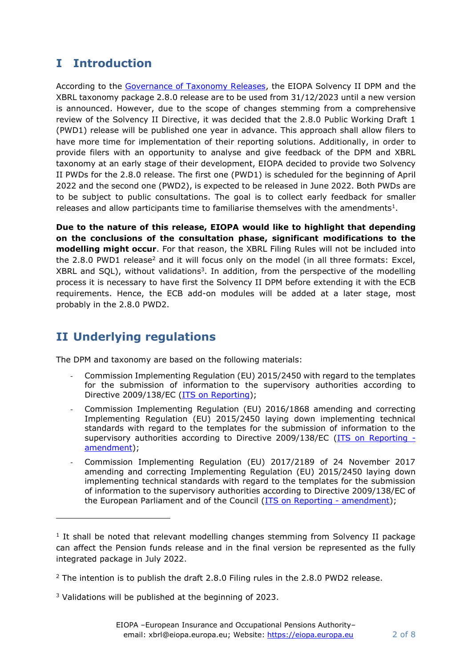# **I Introduction**

According to the [Governance of Taxonomy Releases,](https://dev.eiopa.europa.eu/Taxonomy/Full/2.4.0_PWD/Common/EIOPA_Public_2019_2021_Taxonomy_Governance_and_Schedule.pdf) the EIOPA Solvency II DPM and the XBRL taxonomy package 2.8.0 release are to be used from 31/12/2023 until a new version is announced. However, due to the scope of changes stemming from a comprehensive review of the Solvency II Directive, it was decided that the 2.8.0 Public Working Draft 1 (PWD1) release will be published one year in advance. This approach shall allow filers to have more time for implementation of their reporting solutions. Additionally, in order to provide filers with an opportunity to analyse and give feedback of the DPM and XBRL taxonomy at an early stage of their development, EIOPA decided to provide two Solvency II PWDs for the 2.8.0 release. The first one (PWD1) is scheduled for the beginning of April 2022 and the second one (PWD2), is expected to be released in June 2022. Both PWDs are to be subject to public consultations. The goal is to collect early feedback for smaller releases and allow participants time to familiarise themselves with the amendments $<sup>1</sup>$ .</sup>

**Due to the nature of this release, EIOPA would like to highlight that depending on the conclusions of the consultation phase, significant modifications to the modelling might occur**. For that reason, the XBRL Filing Rules will not be included into the 2.8.0 PWD1 release<sup>2</sup> and it will focus only on the model (in all three formats: Excel, XBRL and SQL), without validations<sup>3</sup>. In addition, from the perspective of the modelling process it is necessary to have first the Solvency II DPM before extending it with the ECB requirements. Hence, the ECB add-on modules will be added at a later stage, most probably in the 2.8.0 PWD2.

# **II Underlying regulations**

The DPM and taxonomy are based on the following materials:

- Commission Implementing Regulation (EU) 2015/2450 with regard to the templates for the submission of information to the supervisory authorities according to Directive 2009/138/EC (ITS [on Reporting\)](https://eur-lex.europa.eu/legal-content/EN/TXT/?uri=CELEX%3A02015R2450-20200607);
- Commission Implementing Regulation (EU) 2016/1868 amending and correcting Implementing Regulation (EU) 2015/2450 laying down implementing technical standards with regard to the templates for the submission of information to the supervisory authorities according to Directive 2009/138/EC [\(ITS on Reporting](http://eur-lex.europa.eu/legal-content/EN/TXT/?qid=1477397733577&uri=CELEX:32016R1868)  [amendment\)](http://eur-lex.europa.eu/legal-content/EN/TXT/?qid=1477397733577&uri=CELEX:32016R1868);
- Commission Implementing Regulation (EU) 2017/2189 of 24 November 2017 amending and correcting Implementing Regulation (EU) 2015/2450 laying down implementing technical standards with regard to the templates for the submission of information to the supervisory authorities according to Directive 2009/138/EC of the European Parliament and of the Council [\(ITS on Reporting -](https://eur-lex.europa.eu/legal-content/EN/TXT/?uri=CELEX%3A32017R2189) amendment);

<sup>3</sup> Validations will be published at the beginning of 2023.

<sup>&</sup>lt;sup>1</sup> It shall be noted that relevant modelling changes stemming from Solvency II package can affect the Pension funds release and in the final version be represented as the fully integrated package in July 2022.

 $2$  The intention is to publish the draft 2.8.0 Filing rules in the 2.8.0 PWD2 release.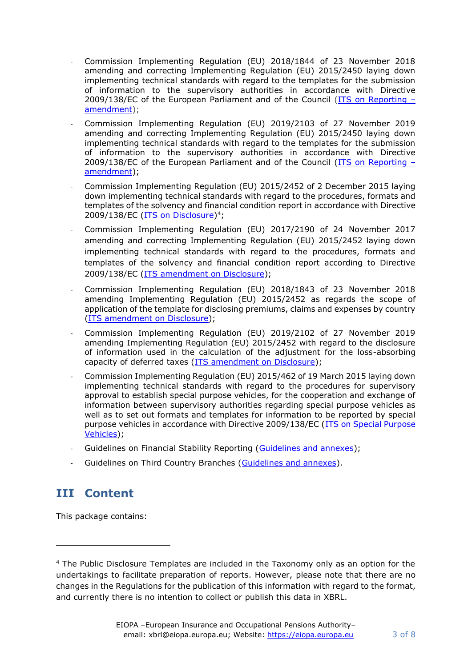- Commission Implementing Regulation (EU) 2018/1844 of 23 November 2018 amending and correcting Implementing Regulation (EU) 2015/2450 laying down implementing technical standards with regard to the templates for the submission of information to the supervisory authorities in accordance with Directive 2009/138/EC of the European Parliament and of the Council ( $ITS$  on Reporting  $$ [amendment\)](https://eur-lex.europa.eu/legal-content/EN/TXT/?uri=uriserv:OJ.L_.2018.299.01.0005.01.ENG&toc=OJ:L:2018:299:TOC);
- Commission Implementing Regulation (EU) 2019/2103 of 27 November 2019 amending and correcting Implementing Regulation (EU) 2015/2450 laying down implementing technical standards with regard to the templates for the submission of information to the supervisory authorities in accordance with Directive 2009/138/EC of the European Parliament and of the Council [\(ITS on Reporting](https://op.europa.eu/en/publication-detail/-/publication/6907206f-1b5b-11ea-8c1f-01aa75ed71a1/language-en/format-HTML/source-118687155) – [amendment\)](https://op.europa.eu/en/publication-detail/-/publication/6907206f-1b5b-11ea-8c1f-01aa75ed71a1/language-en/format-HTML/source-118687155);
- Commission Implementing Regulation (EU) 2015/2452 of 2 December 2015 laying down implementing technical standards with regard to the procedures, formats and templates of the solvency and financial condition report in accordance with Directive 2009/138/EC [\(ITS on Disclosure\)](https://eur-lex.europa.eu/legal-content/EN/TXT/?uri=CELEX%3A02015R2452-20200101)<sup>4</sup>;
- Commission Implementing Regulation (EU) 2017/2190 of 24 November 2017 amending and correcting Implementing Regulation (EU) 2015/2452 laying down implementing technical standards with regard to the procedures, formats and templates of the solvency and financial condition report according to Directive 2009/138/EC [\(ITS amendment on Disclosure\)](https://eur-lex.europa.eu/legal-content/EN/TXT/?uri=uriserv:OJ.L_.2017.310.01.0030.01.ENG&toc=OJ:L:2017:310:TOC);
- Commission Implementing Regulation (EU) 2018/1843 of 23 November 2018 amending Implementing Regulation (EU) 2015/2452 as regards the scope of application of the template for disclosing premiums, claims and expenses by country [\(ITS amendment on Disclosure\)](https://eur-lex.europa.eu/legal-content/EN/TXT/?uri=uriserv:OJ.L_.2018.299.01.0002.01.ENG&toc=OJ:L:2018:299:TOC);
- Commission Implementing Regulation (EU) 2019/2102 of 27 November 2019 amending Implementing Regulation (EU) 2015/2452 with regard to the disclosure of information used in the calculation of the adjustment for the loss-absorbing capacity of deferred taxes [\(ITS amendment on Disclosure\)](https://op.europa.eu/en/publication-detail/-/publication/a2d87fa4-1b5c-11ea-8c1f-01aa75ed71a1/language-en/format-HTML/source-118557433);
- Commission Implementing Regulation (EU) 2015/462 of 19 March 2015 laying down implementing technical standards with regard to the procedures for supervisory approval to establish special purpose vehicles, for the cooperation and exchange of information between supervisory authorities regarding special purpose vehicles as well as to set out formats and templates for information to be reported by special purpose vehicles in accordance with Directive 2009/138/EC [\(ITS on Special Purpose](https://eur-lex.europa.eu/legal-content/EN/TXT/?uri=CELEX:32015R0462)  [Vehicles\)](https://eur-lex.europa.eu/legal-content/EN/TXT/?uri=CELEX:32015R0462);
- Guidelines on Financial Stability Reporting [\(Guidelines and annexes\)](https://www.eiopa.europa.eu/content/guidelines-financial-stability-reporting%E2%80%8B_en);
- Guidelines on Third Country Branches [\(Guidelines and annexes\)](https://www.eiopa.europa.eu/content/guidelines-supervision-branches-third-country-insurance-undertakings_en).

## **III Content**

This package contains:

<sup>4</sup> The Public Disclosure Templates are included in the Taxonomy only as an option for the undertakings to facilitate preparation of reports. However, please note that there are no changes in the Regulations for the publication of this information with regard to the format, and currently there is no intention to collect or publish this data in XBRL.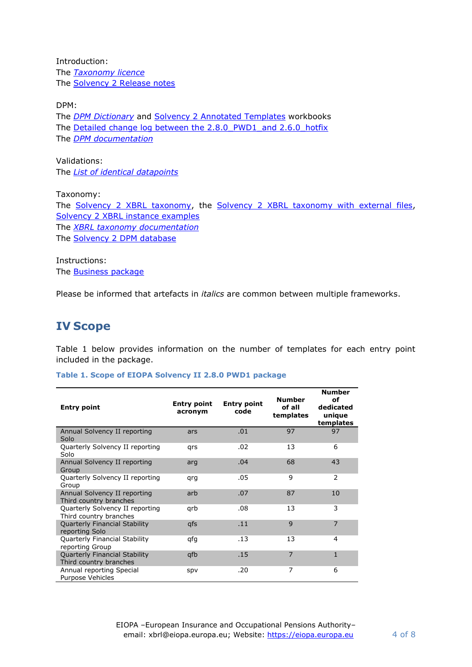Introduction: The *[Taxonomy licence](https://dev.eiopa.europa.eu/Taxonomy/Full/2.4.0/common/EIOPA_DPM_and_Taxonomy_License.pdf)* The [Solvency 2 Release notes](https://dev.eiopa.europa.eu/Taxonomy/Full/2.8.0_PWD1/S2/EIOPA_SolvencyII_Release_Notes_2.8.0_PWD1.pdf)

DPM: The *[DPM Dictionary](https://dev.eiopa.europa.eu/Taxonomy/Full/2.8.0_PWD1/Common/EIOPA_DPM_Dictionary_2.8.0_PWD1.xlsx)* and [Solvency 2 Annotated Templates](https://dev.eiopa.europa.eu/Taxonomy/Full/2.8.0_PWD1/S2/EIOPA_SolvencyII_DPM_Annotated_Templates_2.8.0_PWD1.xlsx) workbooks The Detailed change log between the 2.8.0 PWD1\_and 2.6.0\_hotfix The *[DPM documentation](https://dev.eiopa.europa.eu/Taxonomy/Full/2.8.0_PWD1/Common/EIOPA_DPM_Documentation_2.8.0_PWD1.pdf)*

Validations: The *[List of identical datapoints](https://dev.eiopa.europa.eu/Taxonomy/Full/2.8.0_PWD1/s2/EIOPA_SolvencyII_List_of_identical_datapoints_2.8.0_PWD1.xlsx)*

Taxonomy: The [Solvency 2 XBRL taxonomy,](https://dev.eiopa.europa.eu/Taxonomy/Full/2.8.0_PWD1/S2/EIOPA_SolvencyII_XBRL_Taxonomy_2.8.0_PWD1.zip) the [Solvency 2 XBRL taxonomy with external files,](https://dev.eiopa.europa.eu/Taxonomy/Full/2.8.0_PWD1/S2/EIOPA_SolvencyII_XBRL_Taxonomy_2.8.0_PWD1_with_External_Files.zip) [Solvency 2 XBRL instance examples](https://dev.eiopa.europa.eu/Taxonomy/Full/2.8.0_PWD1/S2/EIOPA_SolvencyII_XBRL_Instance_documents_2.8.0_PWD1.zip) The *[XBRL taxonomy documentation](https://dev.eiopa.europa.eu/Taxonomy/Full/2.8.0_PWD1/Common/EIOPA_XBRL_Taxonomy_Documentation_2.8.0_PWD1.pdf)* The [Solvency 2 DPM database](https://dev.eiopa.europa.eu/Taxonomy/Full/2.8.0_PWD1/S2/EIOPA_SolvencyII_DPM_Database_2.8.0_PWD1.zip)

Instructions: The **Business package** 

Please be informed that artefacts in *italics* are common between multiple frameworks.

### **IV Scope**

[Table 1](#page-3-0) below provides information on the number of templates for each entry point included in the package.

<span id="page-3-0"></span>**Table 1. Scope of EIOPA Solvency II 2.8.0 PWD1 package**

| <b>Entry point</b>                                        | <b>Entry point</b><br>acronym | <b>Entry point</b><br>code | <b>Number</b><br>of all<br>templates | <b>Number</b><br>οf<br>dedicated<br>unique<br>templates |
|-----------------------------------------------------------|-------------------------------|----------------------------|--------------------------------------|---------------------------------------------------------|
| Annual Solvency II reporting<br>Solo                      | ars                           | .01                        | 97                                   | 97                                                      |
| Quarterly Solvency II reporting<br>Solo                   | qrs                           | .02                        | 13                                   | 6                                                       |
| Annual Solvency II reporting<br>Group                     | arg                           | .04                        | 68                                   | 43                                                      |
| Quarterly Solvency II reporting<br>Group                  | qrq                           | .05                        | 9                                    | 2                                                       |
| Annual Solvency II reporting<br>Third country branches    | arb                           | .07                        | 87                                   | 10                                                      |
| Quarterly Solvency II reporting<br>Third country branches | qrb                           | .08                        | 13                                   | 3                                                       |
| <b>Quarterly Financial Stability</b><br>reporting Solo    | qfs                           | .11                        | 9                                    | $\overline{7}$                                          |
| Quarterly Financial Stability<br>reporting Group          | qfg                           | .13                        | 13                                   | 4                                                       |
| Quarterly Financial Stability<br>Third country branches   | qfb                           | .15                        | $\overline{7}$                       | $\mathbf{1}$                                            |
| Annual reporting Special<br>Purpose Vehicles              | spv                           | .20                        | 7                                    | 6                                                       |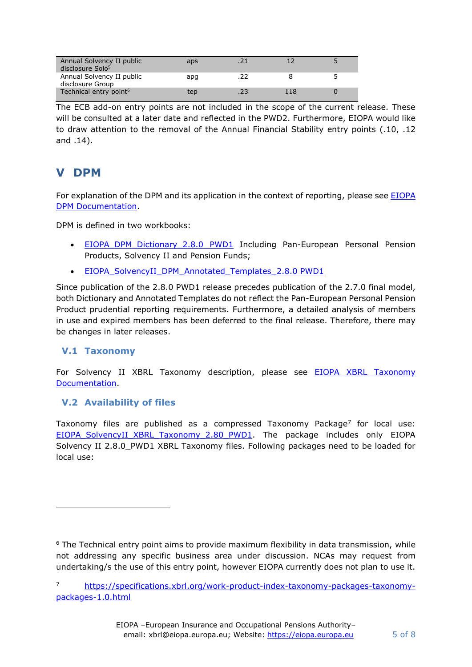| Annual Solvency II public<br>disclosure Solo <sup>5</sup> | aps |     |     |  |
|-----------------------------------------------------------|-----|-----|-----|--|
| Annual Solvency II public<br>disclosure Group             | apg | .22 |     |  |
| Technical entry point <sup>6</sup>                        | tep | .23 | 118 |  |

The ECB add-on entry points are not included in the scope of the current release. These will be consulted at a later date and reflected in the PWD2. Furthermore, EIOPA would like to draw attention to the removal of the Annual Financial Stability entry points (.10, .12 and .14).

## **V DPM**

For explanation of the DPM and its application in the context of reporting, please see [EIOPA](https://dev.eiopa.europa.eu/Taxonomy/Full/2.8.0_PWD1/Common/EIOPA_DPM_Documentation_2.8.0_PWD1.pdf)  [DPM Documentation.](https://dev.eiopa.europa.eu/Taxonomy/Full/2.8.0_PWD1/Common/EIOPA_DPM_Documentation_2.8.0_PWD1.pdf)

DPM is defined in two workbooks:

- EIOPA DPM Dictionary 2.8.0 PWD1 Including Pan-European Personal Pension Products, Solvency II and Pension Funds;
- EIOPA SolvencyII DPM Annotated Templates 2.8.0 PWD1

Since publication of the 2.8.0 PWD1 release precedes publication of the 2.7.0 final model, both Dictionary and Annotated Templates do not reflect the Pan-European Personal Pension Product prudential reporting requirements. Furthermore, a detailed analysis of members in use and expired members has been deferred to the final release. Therefore, there may be changes in later releases.

#### **V.1 Taxonomy**

For Solvency II XBRL Taxonomy description, please see **EIOPA XBRL Taxonomy** [Documentation.](https://dev.eiopa.europa.eu/Taxonomy/Full/2.8.0_PWD1/Common/EIOPA_XBRL_Taxonomy_Documentation_2.8.0_PWD1.pdf)

#### **V.2 Availability of files**

Taxonomy files are published as a compressed Taxonomy Package<sup>7</sup> for local use: EIOPA SolvencyII\_XBRL\_Taxonomy\_2.80\_PWD1. The package includes only EIOPA Solvency II 2.8.0\_PWD1 XBRL Taxonomy files. Following packages need to be loaded for local use:

 $6$  The Technical entry point aims to provide maximum flexibility in data transmission, while not addressing any specific business area under discussion. NCAs may request from undertaking/s the use of this entry point, however EIOPA currently does not plan to use it.

<sup>7</sup> [https://specifications.xbrl.org/work-product-index-taxonomy-packages-taxonomy](https://specifications.xbrl.org/work-product-index-taxonomy-packages-taxonomy-packages-1.0.html)[packages-1.0.html](https://specifications.xbrl.org/work-product-index-taxonomy-packages-taxonomy-packages-1.0.html)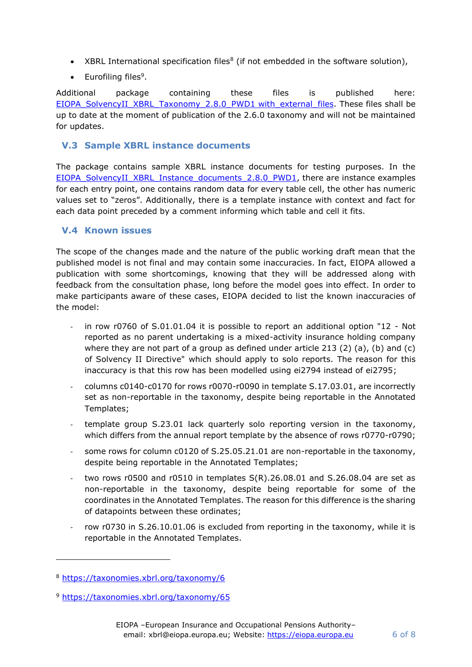- XBRL International specification files<sup>8</sup> (if not embedded in the software solution),
- Eurofiling files<sup>9</sup>.

Additional package containing these files is published here: [EIOPA\\_SolvencyII\\_XBRL\\_Taxonomy\\_2.8.0\\_PWD1](https://dev.eiopa.europa.eu/Taxonomy/Full/2.8.0_PWD1/S2/EIOPA_SolvencyII_XBRL_Taxonomy_2.8.0_PWD1_with_External_Files.zip) with\_external\_files. These files shall be up to date at the moment of publication of the 2.6.0 taxonomy and will not be maintained for updates.

#### **V.3 Sample XBRL instance documents**

The package contains sample XBRL instance documents for testing purposes. In the [EIOPA\\_SolvencyII\\_XBRL\\_Instance\\_documents\\_2.8.0\\_](https://dev.eiopa.europa.eu/Taxonomy/Full/2.8.0_PWD1/S2/EIOPA_SolvencyII_XBRL_Instance_documents_2.8.0_PWD1.zip)PWD1, there are instance examples for each entry point, one contains random data for every table cell, the other has numeric values set to "zeros". Additionally, there is a template instance with context and fact for each data point preceded by a comment informing which table and cell it fits.

#### **V.4 Known issues**

The scope of the changes made and the nature of the public working draft mean that the published model is not final and may contain some inaccuracies. In fact, EIOPA allowed a publication with some shortcomings, knowing that they will be addressed along with feedback from the consultation phase, long before the model goes into effect. In order to make participants aware of these cases, EIOPA decided to list the known inaccuracies of the model:

- in row r0760 of  $S.01.01.04$  it is possible to report an additional option "12 Not reported as no parent undertaking is a mixed-activity insurance holding company where they are not part of a group as defined under article 213 (2) (a), (b) and (c) of Solvency II Directive" which should apply to solo reports. The reason for this inaccuracy is that this row has been modelled using ei2794 instead of ei2795;
- columns c0140-c0170 for rows r0070-r0090 in template S.17.03.01, are incorrectly set as non-reportable in the taxonomy, despite being reportable in the Annotated Templates;
- template group S.23.01 lack quarterly solo reporting version in the taxonomy, which differs from the annual report template by the absence of rows r0770-r0790;
- some rows for column c0120 of S.25.05.21.01 are non-reportable in the taxonomy, despite being reportable in the Annotated Templates;
- two rows r0500 and r0510 in templates  $S(R)$ .26.08.01 and S.26.08.04 are set as non-reportable in the taxonomy, despite being reportable for some of the coordinates in the Annotated Templates. The reason for this difference is the sharing of datapoints between these ordinates;
- row r0730 in S.26.10.01.06 is excluded from reporting in the taxonomy, while it is reportable in the Annotated Templates.

<sup>8</sup> <https://taxonomies.xbrl.org/taxonomy/6>

<sup>9</sup> <https://taxonomies.xbrl.org/taxonomy/65>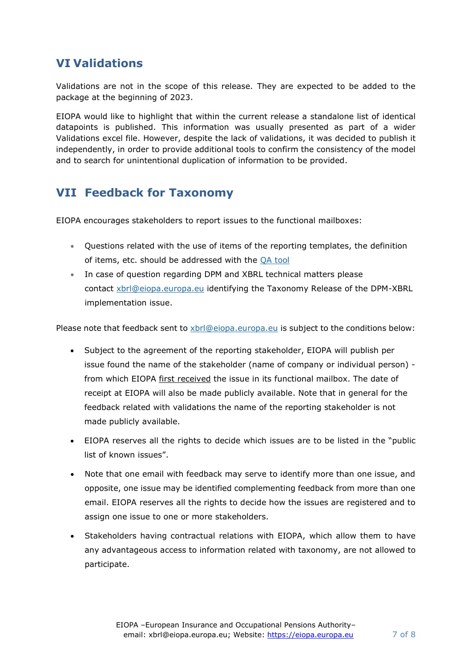## **VI Validations**

Validations are not in the scope of this release. They are expected to be added to the package at the beginning of 2023.

EIOPA would like to highlight that within the current release a standalone list of identical datapoints is published. This information was usually presented as part of a wider Validations excel file. However, despite the lack of validations, it was decided to publish it independently, in order to provide additional tools to confirm the consistency of the model and to search for unintentional duplication of information to be provided.

## **VII Feedback for Taxonomy**

EIOPA encourages stakeholders to report issues to the functional mailboxes:

- Questions related with the use of items of the reporting templates, the definition of items, etc. should be addressed with the [QA tool](https://eiopa.europa.eu/regulation-supervision/q-a-on-regulation)
- In case of question regarding DPM and XBRL technical matters please contact [xbrl@eiopa.europa.eu](mailto:xbrl@eiopa.europa.eu) identifying the Taxonomy Release of the DPM-XBRL implementation issue.

Please note that feedback sent to [xbrl@eiopa.europa.eu](mailto:xbrl@eiopa.europa.eu) is subject to the conditions below:

- Subject to the agreement of the reporting stakeholder, EIOPA will publish per issue found the name of the stakeholder (name of company or individual person) from which EIOPA first received the issue in its functional mailbox. The date of receipt at EIOPA will also be made publicly available. Note that in general for the feedback related with validations the name of the reporting stakeholder is not made publicly available.
- EIOPA reserves all the rights to decide which issues are to be listed in the "public list of known issues".
- Note that one email with feedback may serve to identify more than one issue, and opposite, one issue may be identified complementing feedback from more than one email. EIOPA reserves all the rights to decide how the issues are registered and to assign one issue to one or more stakeholders.
- Stakeholders having contractual relations with EIOPA, which allow them to have any advantageous access to information related with taxonomy, are not allowed to participate.